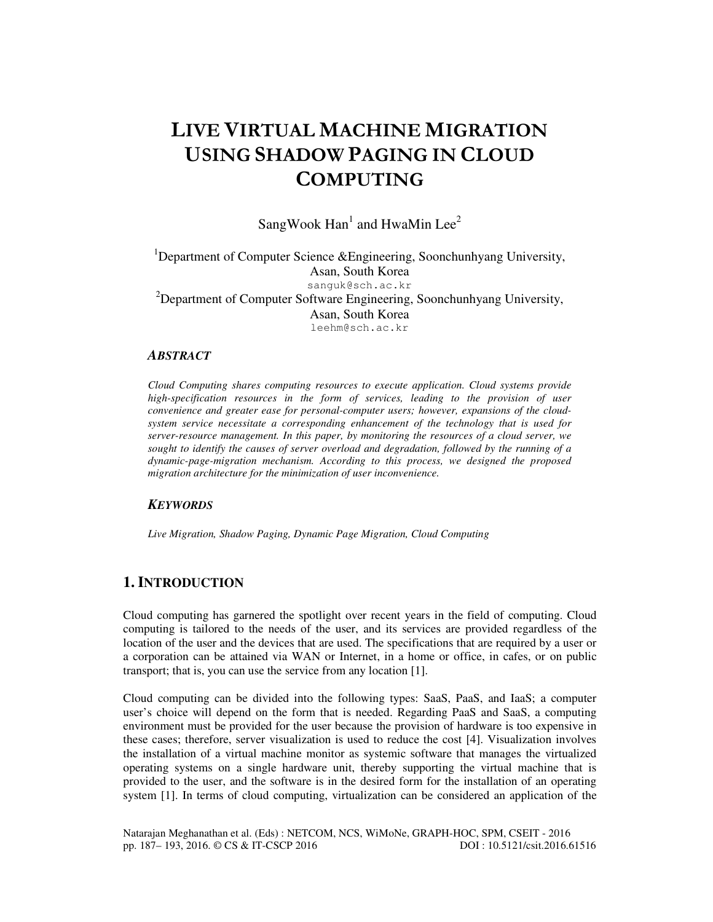# LIVE VIRTUAL MACHINE MIGRATION USING SHADOW PAGING IN CLOUD **COMPUTING**

SangWook  $\text{Han}^1$  and HwaMin Lee<sup>2</sup>

<sup>1</sup>Department of Computer Science &Engineering, Soonchunhyang University, Asan, South Korea sanguk@sch.ac.kr <sup>2</sup>Department of Computer Software Engineering, Soonchunhyang University, Asan, South Korea leehm@sch.ac.kr

#### *ABSTRACT*

*Cloud Computing shares computing resources to execute application. Cloud systems provide high-specification resources in the form of services, leading to the provision of user convenience and greater ease for personal-computer users; however, expansions of the cloudsystem service necessitate a corresponding enhancement of the technology that is used for server-resource management. In this paper, by monitoring the resources of a cloud server, we sought to identify the causes of server overload and degradation, followed by the running of a dynamic-page-migration mechanism. According to this process, we designed the proposed migration architecture for the minimization of user inconvenience.* 

# *KEYWORDS*

*Live Migration, Shadow Paging, Dynamic Page Migration, Cloud Computing* 

# **1. INTRODUCTION**

Cloud computing has garnered the spotlight over recent years in the field of computing. Cloud computing is tailored to the needs of the user, and its services are provided regardless of the location of the user and the devices that are used. The specifications that are required by a user or a corporation can be attained via WAN or Internet, in a home or office, in cafes, or on public transport; that is, you can use the service from any location [1].

Cloud computing can be divided into the following types: SaaS, PaaS, and IaaS; a computer user's choice will depend on the form that is needed. Regarding PaaS and SaaS, a computing environment must be provided for the user because the provision of hardware is too expensive in these cases; therefore, server visualization is used to reduce the cost [4]. Visualization involves the installation of a virtual machine monitor as systemic software that manages the virtualized operating systems on a single hardware unit, thereby supporting the virtual machine that is provided to the user, and the software is in the desired form for the installation of an operating system [1]. In terms of cloud computing, virtualization can be considered an application of the

Natarajan Meghanathan et al. (Eds) : NETCOM, NCS, WiMoNe, GRAPH-HOC, SPM, CSEIT - 2016<br>pp. 187–193, 2016. © CS & IT-CSCP 2016 pp. 187-193, 2016. © CS & IT-CSCP 2016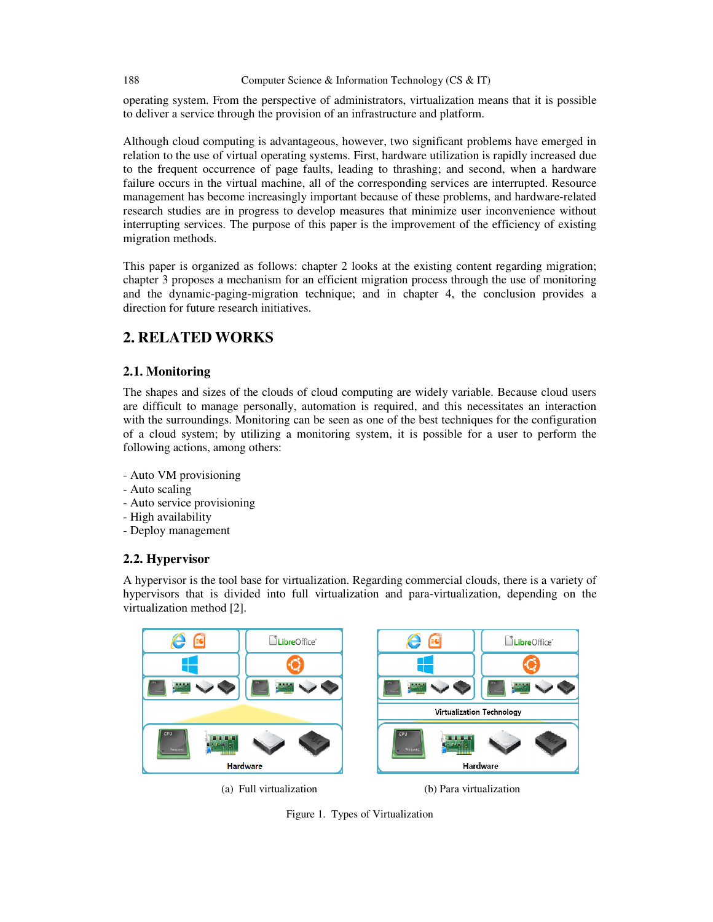operating system. From the perspective of administrators, virtualization means that it is possible to deliver a service through the provision of an infrastructure and platform.

Although cloud computing is advantageous, however, two significant problems have emerged in relation to the use of virtual operating systems. First, hardware utilization is rapidly increased due to the frequent occurrence of page faults, leading to thrashing; and second, when a hardware failure occurs in the virtual machine, all of the corresponding services are interrupted. Resource management has become increasingly important because of these problems, and hardware-related research studies are in progress to develop measures that minimize user inconvenience without interrupting services. The purpose of this paper is the improvement of the efficiency of existing migration methods.

This paper is organized as follows: chapter 2 looks at the existing content regarding migration; chapter 3 proposes a mechanism for an efficient migration process through the use of monitoring and the dynamic-paging-migration technique; and in chapter 4, the conclusion provides a direction for future research initiatives.

# **2. RELATED WORKS**

# **2.1. Monitoring**

The shapes and sizes of the clouds of cloud computing are widely variable. Because cloud users are difficult to manage personally, automation is required, and this necessitates an interaction with the surroundings. Monitoring can be seen as one of the best techniques for the configuration of a cloud system; by utilizing a monitoring system, it is possible for a user to perform the following actions, among others:

- Auto VM provisioning
- Auto scaling
- Auto service provisioning
- High availability
- Deploy management

### **2.2. Hypervisor**

A hypervisor is the tool base for virtualization. Regarding commercial clouds, there is a variety of hypervisors that is divided into full virtualization and para-virtualization, depending on the virtualization method [2].



(a) Full virtualization (b) Para virtualization



Figure 1. Types of Virtualization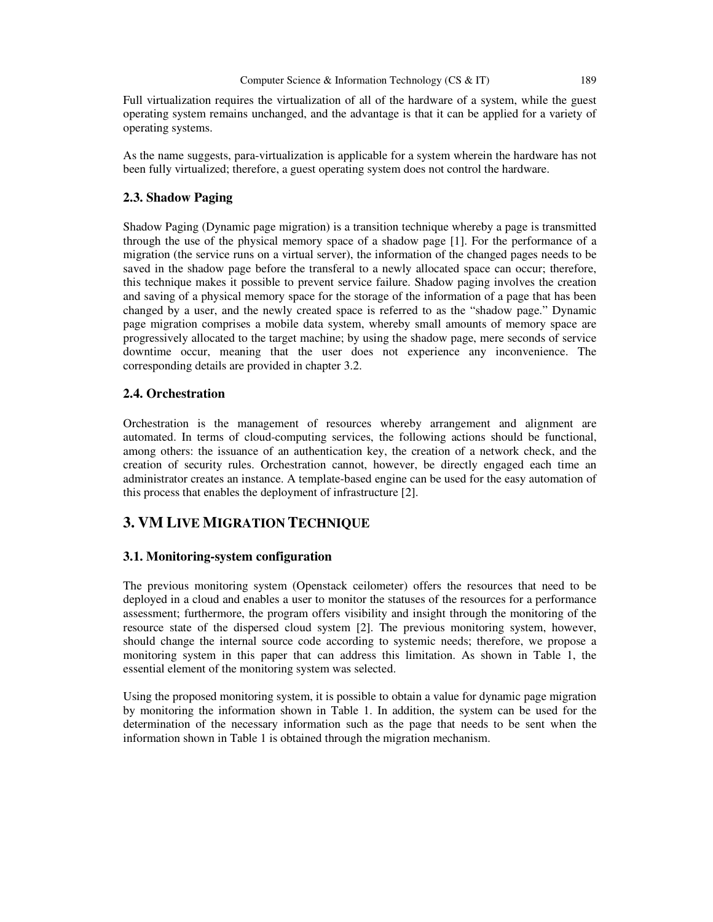Full virtualization requires the virtualization of all of the hardware of a system, while the guest operating system remains unchanged, and the advantage is that it can be applied for a variety of operating systems.

As the name suggests, para-virtualization is applicable for a system wherein the hardware has not been fully virtualized; therefore, a guest operating system does not control the hardware.

#### **2.3. Shadow Paging**

Shadow Paging (Dynamic page migration) is a transition technique whereby a page is transmitted through the use of the physical memory space of a shadow page [1]. For the performance of a migration (the service runs on a virtual server), the information of the changed pages needs to be saved in the shadow page before the transferal to a newly allocated space can occur; therefore, this technique makes it possible to prevent service failure. Shadow paging involves the creation and saving of a physical memory space for the storage of the information of a page that has been changed by a user, and the newly created space is referred to as the "shadow page." Dynamic page migration comprises a mobile data system, whereby small amounts of memory space are progressively allocated to the target machine; by using the shadow page, mere seconds of service downtime occur, meaning that the user does not experience any inconvenience. The corresponding details are provided in chapter 3.2.

#### **2.4. Orchestration**

Orchestration is the management of resources whereby arrangement and alignment are automated. In terms of cloud-computing services, the following actions should be functional, among others: the issuance of an authentication key, the creation of a network check, and the creation of security rules. Orchestration cannot, however, be directly engaged each time an administrator creates an instance. A template-based engine can be used for the easy automation of this process that enables the deployment of infrastructure [2].

# **3. VM LIVE MIGRATION TECHNIQUE**

#### **3.1. Monitoring-system configuration**

The previous monitoring system (Openstack ceilometer) offers the resources that need to be deployed in a cloud and enables a user to monitor the statuses of the resources for a performance assessment; furthermore, the program offers visibility and insight through the monitoring of the resource state of the dispersed cloud system [2]. The previous monitoring system, however, should change the internal source code according to systemic needs; therefore, we propose a monitoring system in this paper that can address this limitation. As shown in Table 1, the essential element of the monitoring system was selected.

Using the proposed monitoring system, it is possible to obtain a value for dynamic page migration by monitoring the information shown in Table 1. In addition, the system can be used for the determination of the necessary information such as the page that needs to be sent when the information shown in Table 1 is obtained through the migration mechanism.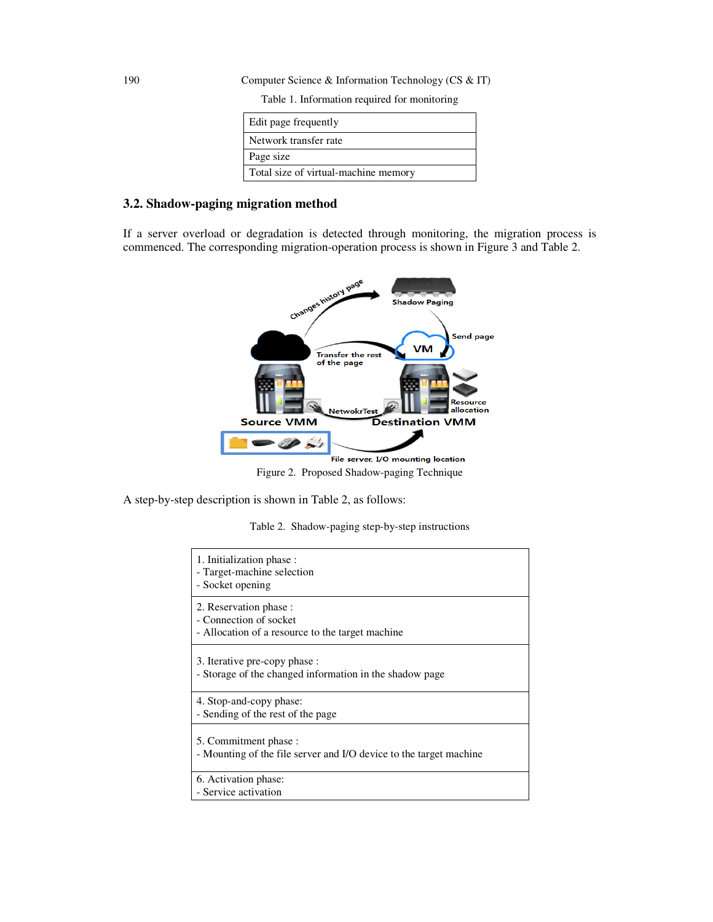190 Computer Science & Information Technology (CS & IT)

Table 1. Information required for monitoring

| Edit page frequently                 |
|--------------------------------------|
| Network transfer rate                |
| Page size                            |
| Total size of virtual-machine memory |

#### **3.2. Shadow-paging migration method**

If a server overload or degradation is detected through monitoring, the migration process is commenced. The corresponding migration-operation process is shown in Figure 3 and Table 2.



Figure 2. Proposed Shadow-paging Technique

A step-by-step description is shown in Table 2, as follows:

| Table 2. Shadow-paging step-by-step instructions |  |  |  |  |  |  |
|--------------------------------------------------|--|--|--|--|--|--|
|--------------------------------------------------|--|--|--|--|--|--|

| 1. Initialization phase:<br>- Target-machine selection<br>- Socket opening                           |
|------------------------------------------------------------------------------------------------------|
| 2. Reservation phase :<br>- Connection of socket<br>- Allocation of a resource to the target machine |
| 3. Iterative pre-copy phase :<br>- Storage of the changed information in the shadow page             |
| 4. Stop-and-copy phase:<br>- Sending of the rest of the page                                         |
| 5. Commitment phase :<br>- Mounting of the file server and I/O device to the target machine          |
| 6. Activation phase:<br>- Service activation                                                         |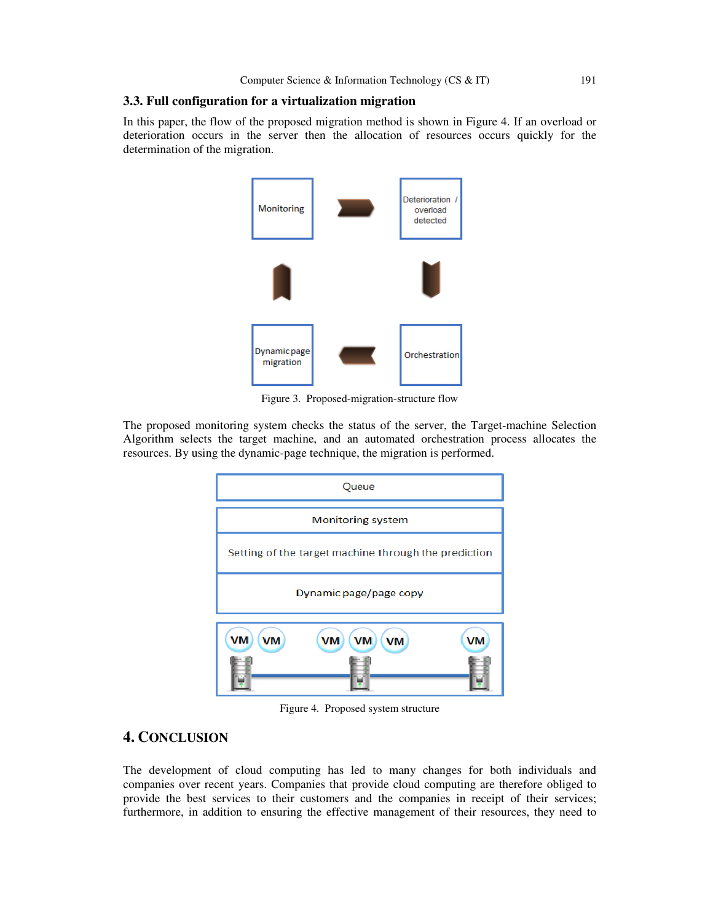#### **3.3. Full configuration for a virtualization migration**

In this paper, the flow of the proposed migration method is shown in Figure 4. If an overload or deterioration occurs in the server then the allocation of resources occurs quickly for the determination of the migration.



Figure 3. Proposed-migration-structure flow

The proposed monitoring system checks the status of the server, the Target-machine Selection Algorithm selects the target machine, and an automated orchestration process allocates the resources. By using the dynamic-page technique, the migration is performed.



Figure 4. Proposed system structure

# **4. CONCLUSION**

The development of cloud computing has led to many changes for both individuals and companies over recent years. Companies that provide cloud computing are therefore obliged to provide the best services to their customers and the companies in receipt of their services; furthermore, in addition to ensuring the effective management of their resources, they need to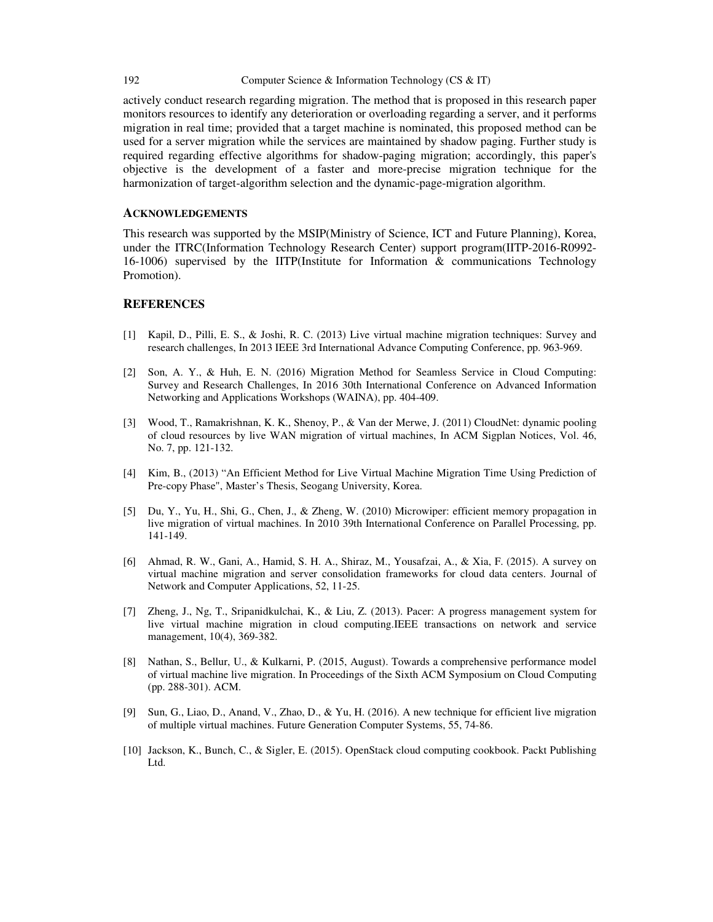#### 192 Computer Science & Information Technology (CS & IT)

actively conduct research regarding migration. The method that is proposed in this research paper monitors resources to identify any deterioration or overloading regarding a server, and it performs migration in real time; provided that a target machine is nominated, this proposed method can be used for a server migration while the services are maintained by shadow paging. Further study is required regarding effective algorithms for shadow-paging migration; accordingly, this paper's objective is the development of a faster and more-precise migration technique for the harmonization of target-algorithm selection and the dynamic-page-migration algorithm.

#### **ACKNOWLEDGEMENTS**

This research was supported by the MSIP(Ministry of Science, ICT and Future Planning), Korea, under the ITRC(Information Technology Research Center) support program(IITP-2016-R0992- 16-1006) supervised by the IITP(Institute for Information & communications Technology Promotion).

#### **REFERENCES**

- [1] Kapil, D., Pilli, E. S., & Joshi, R. C. (2013) Live virtual machine migration techniques: Survey and research challenges, In 2013 IEEE 3rd International Advance Computing Conference, pp. 963-969.
- [2] Son, A. Y., & Huh, E. N. (2016) Migration Method for Seamless Service in Cloud Computing: Survey and Research Challenges, In 2016 30th International Conference on Advanced Information Networking and Applications Workshops (WAINA), pp. 404-409.
- [3] Wood, T., Ramakrishnan, K. K., Shenoy, P., & Van der Merwe, J. (2011) CloudNet: dynamic pooling of cloud resources by live WAN migration of virtual machines, In ACM Sigplan Notices, Vol. 46, No. 7, pp. 121-132.
- [4] Kim, B., (2013) "An Efficient Method for Live Virtual Machine Migration Time Using Prediction of Pre-copy Phase", Master's Thesis, Seogang University, Korea.
- [5] Du, Y., Yu, H., Shi, G., Chen, J., & Zheng, W. (2010) Microwiper: efficient memory propagation in live migration of virtual machines. In 2010 39th International Conference on Parallel Processing, pp. 141-149.
- [6] Ahmad, R. W., Gani, A., Hamid, S. H. A., Shiraz, M., Yousafzai, A., & Xia, F. (2015). A survey on virtual machine migration and server consolidation frameworks for cloud data centers. Journal of Network and Computer Applications, 52, 11-25.
- [7] Zheng, J., Ng, T., Sripanidkulchai, K., & Liu, Z. (2013). Pacer: A progress management system for live virtual machine migration in cloud computing.IEEE transactions on network and service management, 10(4), 369-382.
- [8] Nathan, S., Bellur, U., & Kulkarni, P. (2015, August). Towards a comprehensive performance model of virtual machine live migration. In Proceedings of the Sixth ACM Symposium on Cloud Computing (pp. 288-301). ACM.
- [9] Sun, G., Liao, D., Anand, V., Zhao, D., & Yu, H. (2016). A new technique for efficient live migration of multiple virtual machines. Future Generation Computer Systems, 55, 74-86.
- [10] Jackson, K., Bunch, C., & Sigler, E. (2015). OpenStack cloud computing cookbook. Packt Publishing Ltd.